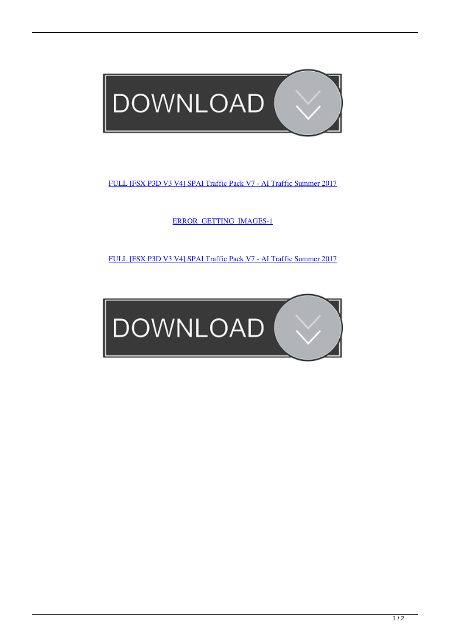

[FULL \[FSX P3D V3 V4\] SPAI Traffic Pack V7 - AI Traffic Summer 2017](http://urluss.com/14ufte)

[ERROR\\_GETTING\\_IMAGES-1](http://urluss.com/14ufte)

[FULL \[FSX P3D V3 V4\] SPAI Traffic Pack V7 - AI Traffic Summer 2017](http://urluss.com/14ufte)